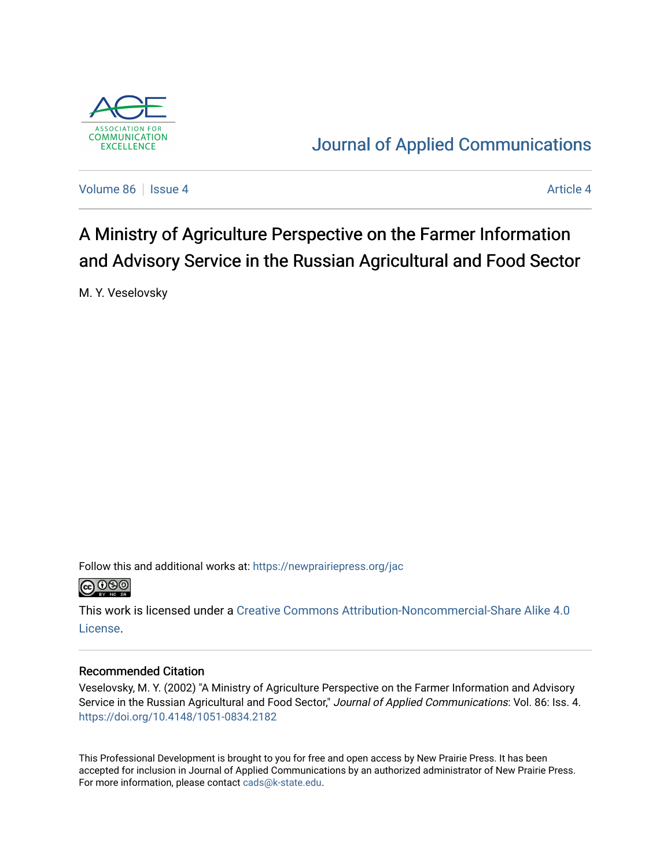

## [Journal of Applied Communications](https://newprairiepress.org/jac)

[Volume 86](https://newprairiepress.org/jac/vol86) | [Issue 4](https://newprairiepress.org/jac/vol86/iss4) [Article 4](https://newprairiepress.org/jac/vol86/iss4/4) Article 4 Article 4 Article 4 Article 4 Article 4 Article 4 Article 4

# A Ministry of Agriculture Perspective on the Farmer Information and Advisory Service in the Russian Agricultural and Food Sector

M. Y. Veselovsky

Follow this and additional works at: [https://newprairiepress.org/jac](https://newprairiepress.org/jac?utm_source=newprairiepress.org%2Fjac%2Fvol86%2Fiss4%2F4&utm_medium=PDF&utm_campaign=PDFCoverPages)



This work is licensed under a [Creative Commons Attribution-Noncommercial-Share Alike 4.0](https://creativecommons.org/licenses/by-nc-sa/4.0/) [License.](https://creativecommons.org/licenses/by-nc-sa/4.0/)

### Recommended Citation

Veselovsky, M. Y. (2002) "A Ministry of Agriculture Perspective on the Farmer Information and Advisory Service in the Russian Agricultural and Food Sector," Journal of Applied Communications: Vol. 86: Iss. 4. <https://doi.org/10.4148/1051-0834.2182>

This Professional Development is brought to you for free and open access by New Prairie Press. It has been accepted for inclusion in Journal of Applied Communications by an authorized administrator of New Prairie Press. For more information, please contact [cads@k-state.edu.](mailto:cads@k-state.edu)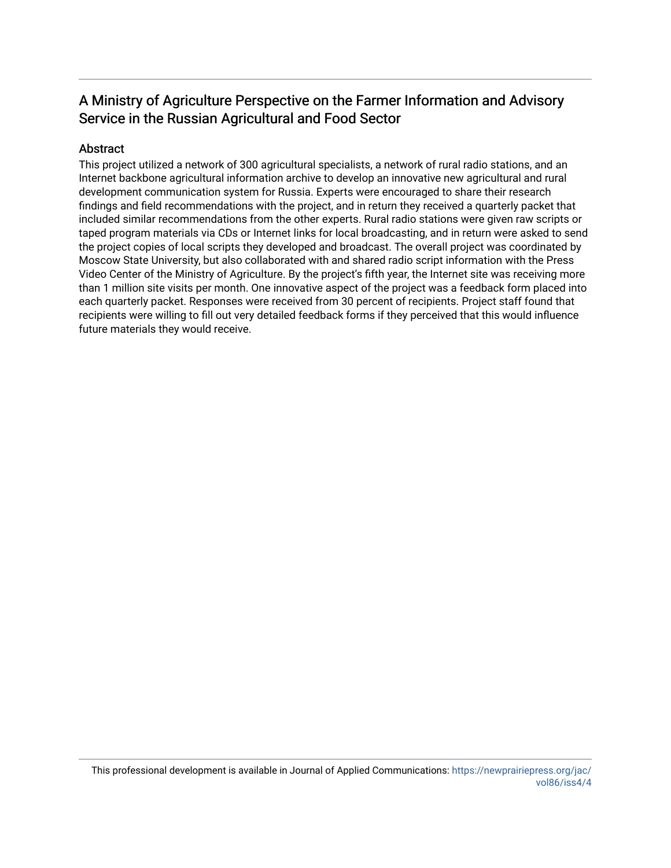## A Ministry of Agriculture Perspective on the Farmer Information and Advisory Service in the Russian Agricultural and Food Sector

### Abstract

This project utilized a network of 300 agricultural specialists, a network of rural radio stations, and an Internet backbone agricultural information archive to develop an innovative new agricultural and rural development communication system for Russia. Experts were encouraged to share their research findings and field recommendations with the project, and in return they received a quarterly packet that included similar recommendations from the other experts. Rural radio stations were given raw scripts or taped program materials via CDs or Internet links for local broadcasting, and in return were asked to send the project copies of local scripts they developed and broadcast. The overall project was coordinated by Moscow State University, but also collaborated with and shared radio script information with the Press Video Center of the Ministry of Agriculture. By the project's fifth year, the Internet site was receiving more than 1 million site visits per month. One innovative aspect of the project was a feedback form placed into each quarterly packet. Responses were received from 30 percent of recipients. Project staff found that recipients were willing to fill out very detailed feedback forms if they perceived that this would influence future materials they would receive.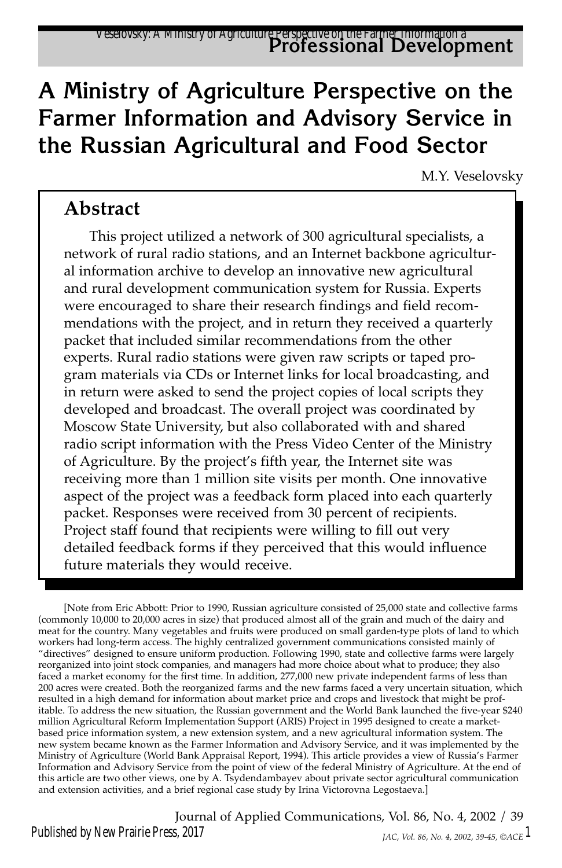## **A Ministry of Agriculture Perspective on the Farmer Information and Advisory Service in the Russian Agricultural and Food Sector**

M.Y. Veselovsky

### **Abstract**

This project utilized a network of 300 agricultural specialists, a network of rural radio stations, and an Internet backbone agricultural information archive to develop an innovative new agricultural and rural development communication system for Russia. Experts were encouraged to share their research findings and field recommendations with the project, and in return they received a quarterly packet that included similar recommendations from the other experts. Rural radio stations were given raw scripts or taped program materials via CDs or Internet links for local broadcasting, and in return were asked to send the project copies of local scripts they developed and broadcast. The overall project was coordinated by Moscow State University, but also collaborated with and shared radio script information with the Press Video Center of the Ministry of Agriculture. By the project's fifth year, the Internet site was receiving more than 1 million site visits per month. One innovative aspect of the project was a feedback form placed into each quarterly packet. Responses were received from 30 percent of recipients. Project staff found that recipients were willing to fill out very detailed feedback forms if they perceived that this would influence future materials they would receive.

[Note from Eric Abbott: Prior to 1990, Russian agriculture consisted of 25,000 state and collective farms (commonly 10,000 to 20,000 acres in size) that produced almost all of the grain and much of the dairy and meat for the country. Many vegetables and fruits were produced on small garden-type plots of land to which workers had long-term access. The highly centralized government communications consisted mainly of "directives" designed to ensure uniform production. Following 1990, state and collective farms were largely reorganized into joint stock companies, and managers had more choice about what to produce; they also faced a market economy for the first time. In addition, 277,000 new private independent farms of less than 200 acres were created. Both the reorganized farms and the new farms faced a very uncertain situation, which resulted in a high demand for information about market price and crops and livestock that might be profitable. To address the new situation, the Russian government and the World Bank launched the five-year \$240 million Agricultural Reform Implementation Support (ARIS) Project in 1995 designed to create a marketbased price information system, a new extension system, and a new agricultural information system. The new system became known as the Farmer Information and Advisory Service, and it was implemented by the Ministry of Agriculture (World Bank Appraisal Report, 1994). This article provides a view of Russia's Farmer Information and Advisory Service from the point of view of the federal Ministry of Agriculture. At the end of this article are two other views, one by A. Tsydendambayev about private sector agricultural communication and extension activities, and a brief regional case study by Irina Victorovna Legostaeva.]

Journal of Applied Communications, Vol. 86, No. 4, 2002 / 39 *JAC, Vol. 86, No. 4, 2002, 39-45, ©ACE* 1 Published by New Prairie Press, 2017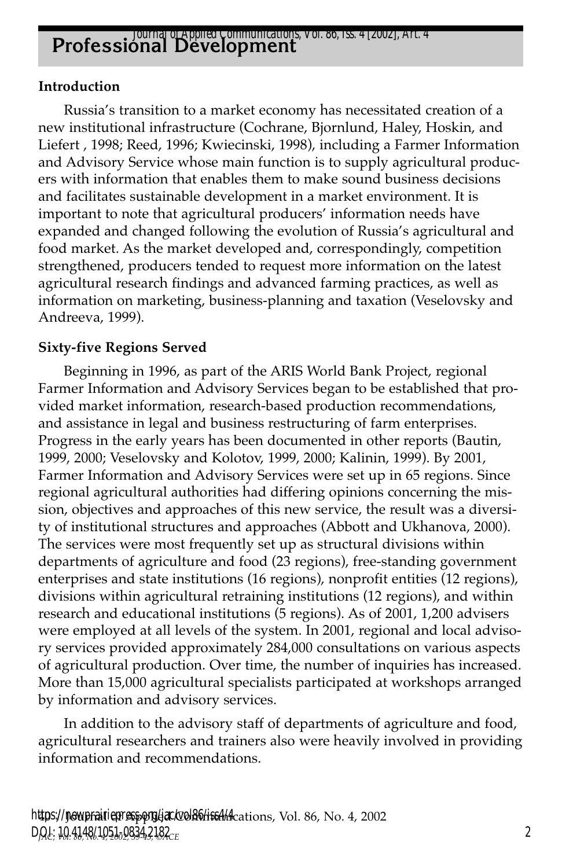## **Professional Development** *Journal of Applied Communications, Vol. 86, Iss. 4 [2002], Art. 4*

#### **Introduction**

Russia's transition to a market economy has necessitated creation of a new institutional infrastructure (Cochrane, Bjornlund, Haley, Hoskin, and Liefert , 1998; Reed, 1996; Kwiecinski, 1998), including a Farmer Information and Advisory Service whose main function is to supply agricultural producers with information that enables them to make sound business decisions and facilitates sustainable development in a market environment. It is important to note that agricultural producers' information needs have expanded and changed following the evolution of Russia's agricultural and food market. As the market developed and, correspondingly, competition strengthened, producers tended to request more information on the latest agricultural research findings and advanced farming practices, as well as information on marketing, business-planning and taxation (Veselovsky and Andreeva, 1999).

#### **Sixty-five Regions Served**

Beginning in 1996, as part of the ARIS World Bank Project, regional Farmer Information and Advisory Services began to be established that provided market information, research-based production recommendations, and assistance in legal and business restructuring of farm enterprises. Progress in the early years has been documented in other reports (Bautin, 1999, 2000; Veselovsky and Kolotov, 1999, 2000; Kalinin, 1999). By 2001, Farmer Information and Advisory Services were set up in 65 regions. Since regional agricultural authorities had differing opinions concerning the mission, objectives and approaches of this new service, the result was a diversity of institutional structures and approaches (Abbott and Ukhanova, 2000). The services were most frequently set up as structural divisions within departments of agriculture and food (23 regions), free-standing government enterprises and state institutions (16 regions), nonprofit entities (12 regions), divisions within agricultural retraining institutions (12 regions), and within research and educational institutions (5 regions). As of 2001, 1,200 advisers were employed at all levels of the system. In 2001, regional and local advisory services provided approximately 284,000 consultations on various aspects of agricultural production. Over time, the number of inquiries has increased. More than 15,000 agricultural specialists participated at workshops arranged by information and advisory services.

In addition to the advisory staff of departments of agriculture and food, agricultural researchers and trainers also were heavily involved in providing information and recommendations.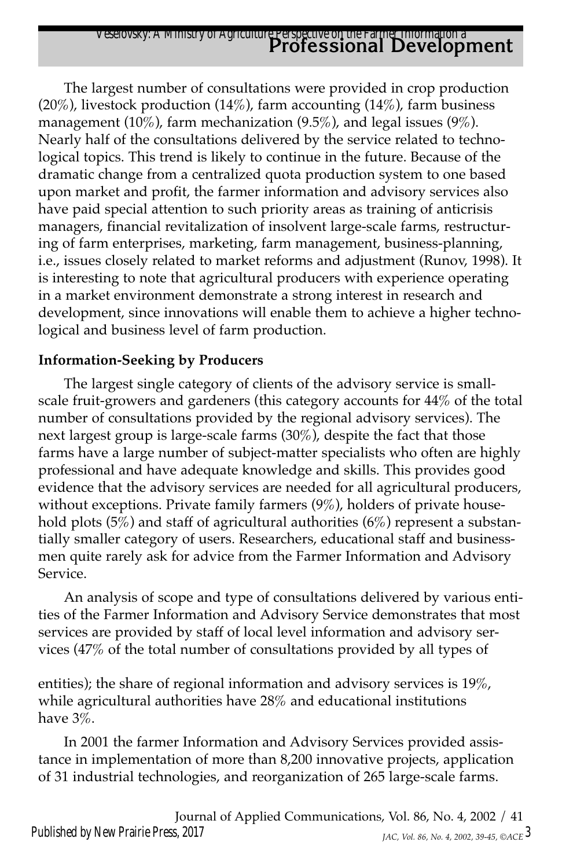## **Professional Development** Veselovsky: A Ministry of Agriculture Perspective on the Farmer Information a

The largest number of consultations were provided in crop production (20%), livestock production (14%), farm accounting (14%), farm business management (10%), farm mechanization (9.5%), and legal issues (9%). Nearly half of the consultations delivered by the service related to technological topics. This trend is likely to continue in the future. Because of the dramatic change from a centralized quota production system to one based upon market and profit, the farmer information and advisory services also have paid special attention to such priority areas as training of anticrisis managers, financial revitalization of insolvent large-scale farms, restructuring of farm enterprises, marketing, farm management, business-planning, i.e., issues closely related to market reforms and adjustment (Runov, 1998). It is interesting to note that agricultural producers with experience operating in a market environment demonstrate a strong interest in research and development, since innovations will enable them to achieve a higher technological and business level of farm production.

### **Information-Seeking by Producers**

The largest single category of clients of the advisory service is smallscale fruit-growers and gardeners (this category accounts for 44% of the total number of consultations provided by the regional advisory services). The next largest group is large-scale farms (30%), despite the fact that those farms have a large number of subject-matter specialists who often are highly professional and have adequate knowledge and skills. This provides good evidence that the advisory services are needed for all agricultural producers, without exceptions. Private family farmers (9%), holders of private household plots  $(5\%)$  and staff of agricultural authorities  $(6\%)$  represent a substantially smaller category of users. Researchers, educational staff and businessmen quite rarely ask for advice from the Farmer Information and Advisory Service.

An analysis of scope and type of consultations delivered by various entities of the Farmer Information and Advisory Service demonstrates that most services are provided by staff of local level information and advisory services (47% of the total number of consultations provided by all types of

entities); the share of regional information and advisory services is 19%, while agricultural authorities have 28% and educational institutions have 3%.

In 2001 the farmer Information and Advisory Services provided assistance in implementation of more than 8,200 innovative projects, application of 31 industrial technologies, and reorganization of 265 large-scale farms.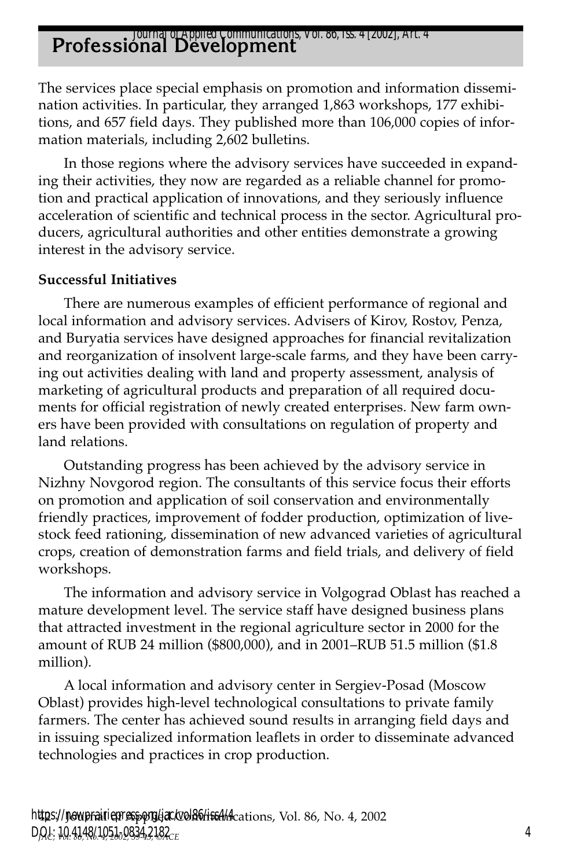## **Professional Development** *Journal of Applied Communications, Vol. 86, Iss. 4 [2002], Art. 4*

The services place special emphasis on promotion and information dissemination activities. In particular, they arranged 1,863 workshops, 177 exhibitions, and 657 field days. They published more than 106,000 copies of information materials, including 2,602 bulletins.

In those regions where the advisory services have succeeded in expanding their activities, they now are regarded as a reliable channel for promotion and practical application of innovations, and they seriously influence acceleration of scientific and technical process in the sector. Agricultural producers, agricultural authorities and other entities demonstrate a growing interest in the advisory service.

#### **Successful Initiatives**

There are numerous examples of efficient performance of regional and local information and advisory services. Advisers of Kirov, Rostov, Penza, and Buryatia services have designed approaches for financial revitalization and reorganization of insolvent large-scale farms, and they have been carrying out activities dealing with land and property assessment, analysis of marketing of agricultural products and preparation of all required documents for official registration of newly created enterprises. New farm owners have been provided with consultations on regulation of property and land relations.

Outstanding progress has been achieved by the advisory service in Nizhny Novgorod region. The consultants of this service focus their efforts on promotion and application of soil conservation and environmentally friendly practices, improvement of fodder production, optimization of livestock feed rationing, dissemination of new advanced varieties of agricultural crops, creation of demonstration farms and field trials, and delivery of field workshops.

The information and advisory service in Volgograd Oblast has reached a mature development level. The service staff have designed business plans that attracted investment in the regional agriculture sector in 2000 for the amount of RUB 24 million (\$800,000), and in 2001–RUB 51.5 million (\$1.8 million).

A local information and advisory center in Sergiev-Posad (Moscow Oblast) provides high-level technological consultations to private family farmers. The center has achieved sound results in arranging field days and in issuing specialized information leaflets in order to disseminate advanced technologies and practices in crop production.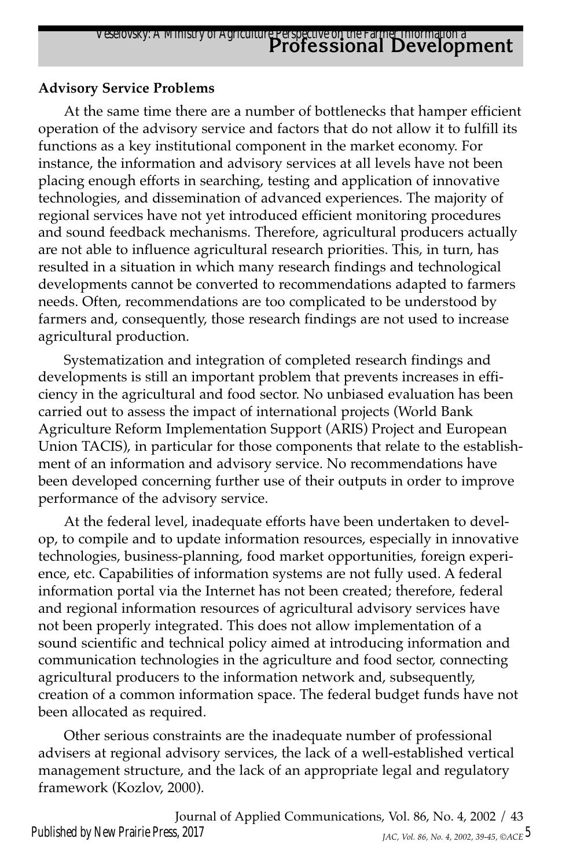### **Advisory Service Problems**

At the same time there are a number of bottlenecks that hamper efficient operation of the advisory service and factors that do not allow it to fulfill its functions as a key institutional component in the market economy. For instance, the information and advisory services at all levels have not been placing enough efforts in searching, testing and application of innovative technologies, and dissemination of advanced experiences. The majority of regional services have not yet introduced efficient monitoring procedures and sound feedback mechanisms. Therefore, agricultural producers actually are not able to influence agricultural research priorities. This, in turn, has resulted in a situation in which many research findings and technological developments cannot be converted to recommendations adapted to farmers needs. Often, recommendations are too complicated to be understood by farmers and, consequently, those research findings are not used to increase agricultural production.

Systematization and integration of completed research findings and developments is still an important problem that prevents increases in efficiency in the agricultural and food sector. No unbiased evaluation has been carried out to assess the impact of international projects (World Bank Agriculture Reform Implementation Support (ARIS) Project and European Union TACIS), in particular for those components that relate to the establishment of an information and advisory service. No recommendations have been developed concerning further use of their outputs in order to improve performance of the advisory service.

At the federal level, inadequate efforts have been undertaken to develop, to compile and to update information resources, especially in innovative technologies, business-planning, food market opportunities, foreign experience, etc. Capabilities of information systems are not fully used. A federal information portal via the Internet has not been created; therefore, federal and regional information resources of agricultural advisory services have not been properly integrated. This does not allow implementation of a sound scientific and technical policy aimed at introducing information and communication technologies in the agriculture and food sector, connecting agricultural producers to the information network and, subsequently, creation of a common information space. The federal budget funds have not been allocated as required.

Other serious constraints are the inadequate number of professional advisers at regional advisory services, the lack of a well-established vertical management structure, and the lack of an appropriate legal and regulatory framework (Kozlov, 2000).

Journal of Applied Communications, Vol. 86, No. 4, 2002 / 43 *JAC, Vol. 86, No. 4, 2002, 39-45, ©ACE* 5 Published by New Prairie Press, 2017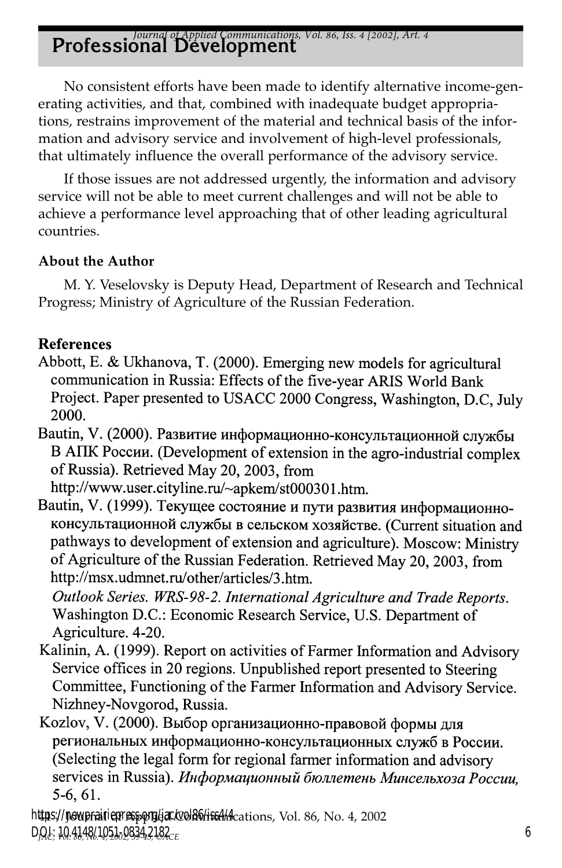## *Journal of Applied Communications, Vol. 86, Iss. 4 [2002], Art. 4*<br>**Professional Development**

No consistent efforts have been made to identify alternative income-generating activities, and that, combined with inadequate budget appropriations, restrains improvement of the material and technical basis of the information and advisory service and involvement of high-level professionals, that ultimately influence the overall performance of the advisory service.

If those issues are not addressed urgently, the information and advisory service will not be able to meet current challenges and will not be able to achieve a performance level approaching that of other leading agricultural countries.

### **About the Author**

M. Y. Veselovsky is Deputy Head, Department of Research and Technical Progress; Ministry of Agriculture of the Russian Federation.

### **References**

- Abbott, E. & Ukhanova, T. (2000). Emerging new models for agricultural communication in Russia: Effects of the five-year ARIS World Bank Project. Paper presented to USACC 2000 Congress, Washington, D.C, July 2000.
- Bautin, V. (2000). Развитие информационно-консультационной службы В АПК России. (Development of extension in the agro-industrial complex of Russia). Retrieved May 20, 2003, from

http://www.user.cityline.ru/~apkem/st000301.htm.

Bautin, V. (1999). Текущее состояние и пути развития информационноконсультационной службы в сельском хозяйстве. (Current situation and pathways to development of extension and agriculture). Moscow: Ministry of Agriculture of the Russian Federation. Retrieved May 20, 2003, from http://msx.udmnet.ru/other/articles/3.htm.

Outlook Series. WRS-98-2. International Agriculture and Trade Reports. Washington D.C.: Economic Research Service, U.S. Department of Agriculture. 4-20.

- Kalinin, A. (1999). Report on activities of Farmer Information and Advisory Service offices in 20 regions. Unpublished report presented to Steering Committee, Functioning of the Farmer Information and Advisory Service. Nizhney-Novgorod, Russia.
- Kozlov, V. (2000). Выбор организационно-правовой формы для региональных информационно-консультационных служб в России. (Selecting the legal form for regional farmer information and advisory services in Russia). Информационный бюллетень Минсельхоза России. 5-6, 61.